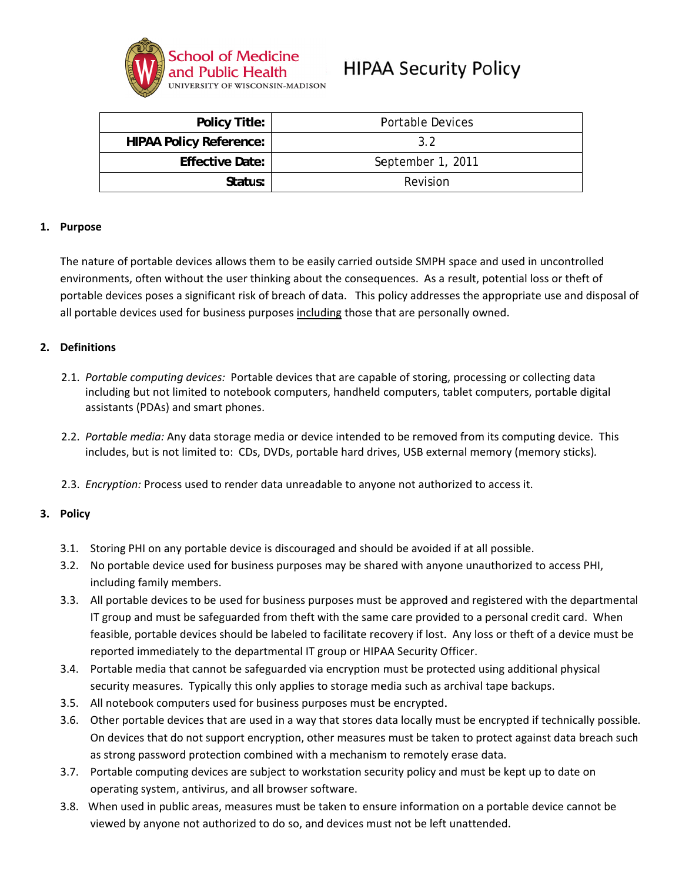

# **HIPAA Security Policy**

| <b>Policy Title:</b>           | <b>Portable Devices</b> |
|--------------------------------|-------------------------|
| <b>HIPAA Policy Reference:</b> | 32                      |
| <b>Effective Date:</b>         | September 1, 2011       |
| Status:                        | Revision                |

#### 1. Purpose

The nature of portable devices allows them to be easily carried outside SMPH space and used in uncontrolled environments, often without the user thinking about the consequences. As a result, potential loss or theft of portable devices poses a significant risk of breach of data. This policy addresses the appropriate use and disposal of all portable devices used for business purposes including those that are personally owned.

#### 2. Definitions

- 2.1. Portable computing devices: Portable devices that are capable of storing, processing or collecting data including but not limited to notebook computers, handheld computers, tablet computers, portable digital assistants (PDAs) and smart phones.
- 2.2. Portable media: Any data storage media or device intended to be removed from its computing device. This includes, but is not limited to: CDs, DVDs, portable hard drives, USB external memory (memory sticks).
- 2.3. Encryption: Process used to render data unreadable to anyone not authorized to access it.

### 3. Policy

- 3.1. Storing PHI on any portable device is discouraged and should be avoided if at all possible.
- 3.2. No portable device used for business purposes may be shared with anyone unauthorized to access PHI, including family members.
- 3.3. All portable devices to be used for business purposes must be approved and registered with the departmental IT group and must be safeguarded from theft with the same care provided to a personal credit card. When feasible, portable devices should be labeled to facilitate recovery if lost. Any loss or theft of a device must be reported immediately to the departmental IT group or HIPAA Security Officer.
- 3.4. Portable media that cannot be safeguarded via encryption must be protected using additional physical security measures. Typically this only applies to storage media such as archival tape backups.
- 3.5. All notebook computers used for business purposes must be encrypted.
- 3.6. Other portable devices that are used in a way that stores data locally must be encrypted if technically possible. On devices that do not support encryption, other measures must be taken to protect against data breach such as strong password protection combined with a mechanism to remotely erase data.
- 3.7. Portable computing devices are subject to workstation security policy and must be kept up to date on operating system, antivirus, and all browser software.
- 3.8. When used in public areas, measures must be taken to ensure information on a portable device cannot be viewed by anyone not authorized to do so, and devices must not be left unattended.